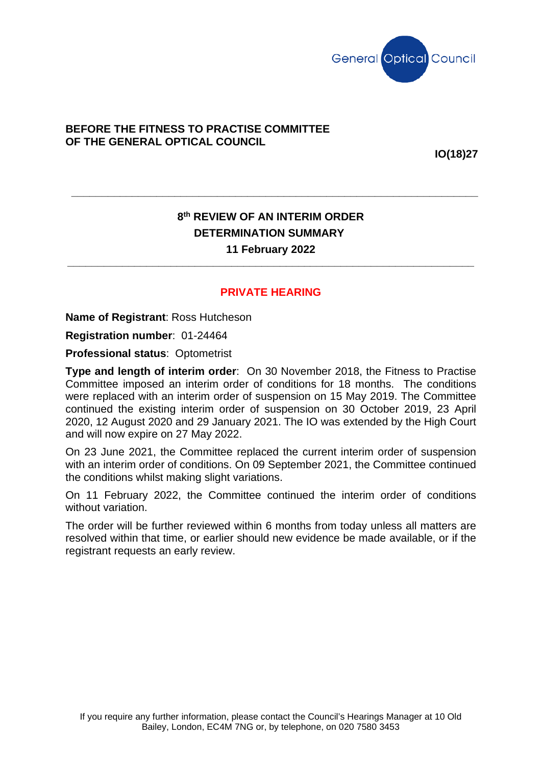

## **BEFORE THE FITNESS TO PRACTISE COMMITTEE OF THE GENERAL OPTICAL COUNCIL**

**IO(18)27**

## **8th REVIEW OF AN INTERIM ORDER DETERMINATION SUMMARY 11 February 2022**

**\_\_\_\_\_\_\_\_\_\_\_\_\_\_\_\_\_\_\_\_\_\_\_\_\_\_\_\_\_\_\_\_\_\_\_\_\_\_\_\_\_\_\_\_\_\_\_\_\_\_\_\_\_\_\_\_\_\_\_\_\_\_\_\_\_\_\_**

## **PRIVATE HEARING**

**\_\_\_\_\_\_\_\_\_\_\_\_\_\_\_\_\_\_\_\_\_\_\_\_\_\_\_\_\_\_\_\_\_\_\_\_\_\_\_\_\_\_\_\_\_\_\_\_\_\_\_\_\_\_\_\_\_\_\_\_\_\_\_\_\_\_\_**

**Name of Registrant**: Ross Hutcheson

**Registration number**: 01-24464

**Professional status**: Optometrist

**Type and length of interim order**: On 30 November 2018, the Fitness to Practise Committee imposed an interim order of conditions for 18 months. The conditions were replaced with an interim order of suspension on 15 May 2019. The Committee continued the existing interim order of suspension on 30 October 2019, 23 April 2020, 12 August 2020 and 29 January 2021. The IO was extended by the High Court and will now expire on 27 May 2022.

On 23 June 2021, the Committee replaced the current interim order of suspension with an interim order of conditions. On 09 September 2021, the Committee continued the conditions whilst making slight variations.

On 11 February 2022, the Committee continued the interim order of conditions without variation.

The order will be further reviewed within 6 months from today unless all matters are resolved within that time, or earlier should new evidence be made available, or if the registrant requests an early review.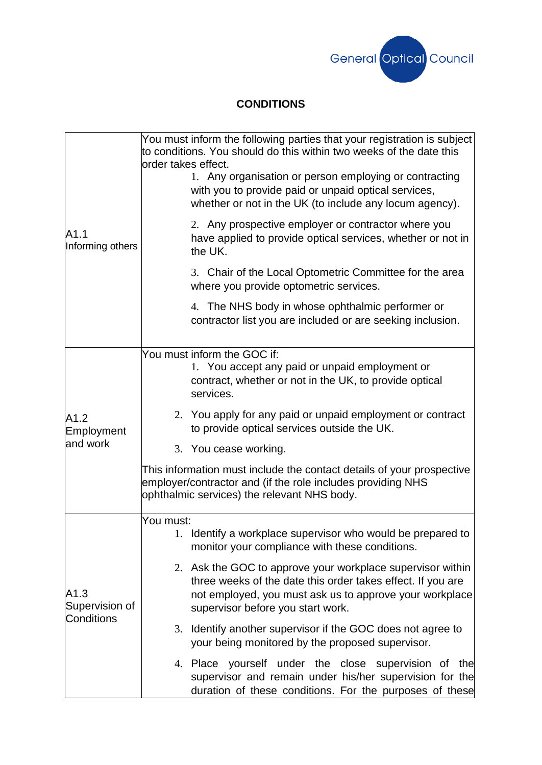

## **CONDITIONS**

| A1.1<br>Informing others             | You must inform the following parties that your registration is subject<br>to conditions. You should do this within two weeks of the date this<br>order takes effect.<br>1. Any organisation or person employing or contracting<br>with you to provide paid or unpaid optical services,<br>whether or not in the UK (to include any locum agency). |
|--------------------------------------|----------------------------------------------------------------------------------------------------------------------------------------------------------------------------------------------------------------------------------------------------------------------------------------------------------------------------------------------------|
|                                      | 2. Any prospective employer or contractor where you<br>have applied to provide optical services, whether or not in<br>the UK.                                                                                                                                                                                                                      |
|                                      | 3. Chair of the Local Optometric Committee for the area<br>where you provide optometric services.                                                                                                                                                                                                                                                  |
|                                      | 4. The NHS body in whose ophthalmic performer or<br>contractor list you are included or are seeking inclusion.                                                                                                                                                                                                                                     |
| A1.2<br>Employment<br>and work       | You must inform the GOC if:<br>1. You accept any paid or unpaid employment or<br>contract, whether or not in the UK, to provide optical<br>services.                                                                                                                                                                                               |
|                                      | 2. You apply for any paid or unpaid employment or contract<br>to provide optical services outside the UK.                                                                                                                                                                                                                                          |
|                                      | 3. You cease working.                                                                                                                                                                                                                                                                                                                              |
|                                      | This information must include the contact details of your prospective<br>employer/contractor and (if the role includes providing NHS<br>ophthalmic services) the relevant NHS body.                                                                                                                                                                |
| A1.3<br>Supervision of<br>Conditions | You must:                                                                                                                                                                                                                                                                                                                                          |
|                                      | Identify a workplace supervisor who would be prepared to<br>1.<br>monitor your compliance with these conditions.                                                                                                                                                                                                                                   |
|                                      | 2. Ask the GOC to approve your workplace supervisor within<br>three weeks of the date this order takes effect. If you are<br>not employed, you must ask us to approve your workplace<br>supervisor before you start work.                                                                                                                          |
|                                      | 3. Identify another supervisor if the GOC does not agree to<br>your being monitored by the proposed supervisor.                                                                                                                                                                                                                                    |
|                                      | 4. Place yourself under the close supervision of the<br>supervisor and remain under his/her supervision for the<br>duration of these conditions. For the purposes of these                                                                                                                                                                         |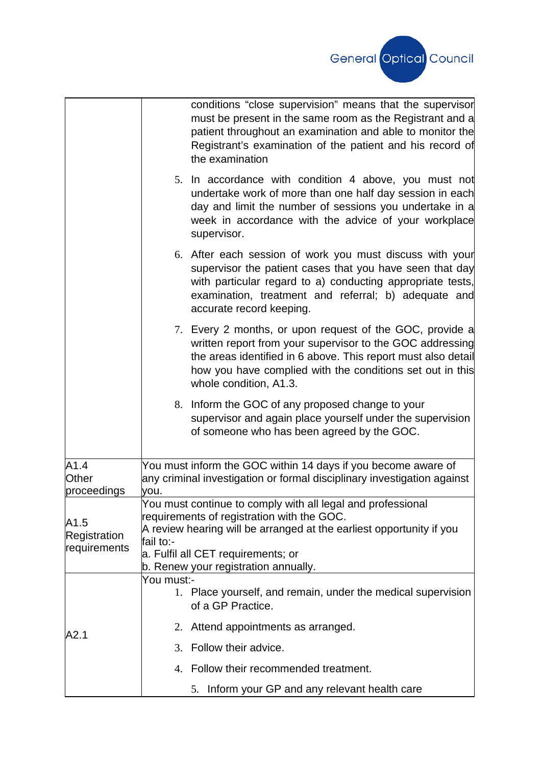

|                              | conditions "close supervision" means that the supervisor<br>must be present in the same room as the Registrant and a<br>patient throughout an examination and able to monitor the<br>Registrant's examination of the patient and his record of<br>the examination             |
|------------------------------|-------------------------------------------------------------------------------------------------------------------------------------------------------------------------------------------------------------------------------------------------------------------------------|
|                              | 5. In accordance with condition 4 above, you must not<br>undertake work of more than one half day session in each<br>day and limit the number of sessions you undertake in a<br>week in accordance with the advice of your workplace<br>supervisor.                           |
|                              | 6. After each session of work you must discuss with your<br>supervisor the patient cases that you have seen that day<br>with particular regard to a) conducting appropriate tests,<br>examination, treatment and referral; b) adequate and<br>accurate record keeping.        |
|                              | 7. Every 2 months, or upon request of the GOC, provide a<br>written report from your supervisor to the GOC addressing<br>the areas identified in 6 above. This report must also detail<br>how you have complied with the conditions set out in this<br>whole condition, A1.3. |
|                              | 8. Inform the GOC of any proposed change to your<br>supervisor and again place yourself under the supervision<br>of someone who has been agreed by the GOC.                                                                                                                   |
| A1.4<br>Other<br>proceedings | You must inform the GOC within 14 days if you become aware of<br>any criminal investigation or formal disciplinary investigation against<br>you.                                                                                                                              |
| A1.5                         | You must continue to comply with all legal and professional                                                                                                                                                                                                                   |
|                              | requirements of registration with the GOC.                                                                                                                                                                                                                                    |
| Registration                 | A review hearing will be arranged at the earliest opportunity if you<br>fail to:-                                                                                                                                                                                             |
| requirements                 | a. Fulfil all CET requirements; or                                                                                                                                                                                                                                            |
|                              | b. Renew your registration annually.                                                                                                                                                                                                                                          |
| A2.1                         | You must:-<br>1. Place yourself, and remain, under the medical supervision<br>of a GP Practice.                                                                                                                                                                               |
|                              | 2. Attend appointments as arranged.                                                                                                                                                                                                                                           |
|                              | 3. Follow their advice.                                                                                                                                                                                                                                                       |
|                              | 4. Follow their recommended treatment.                                                                                                                                                                                                                                        |
|                              | 5. Inform your GP and any relevant health care                                                                                                                                                                                                                                |